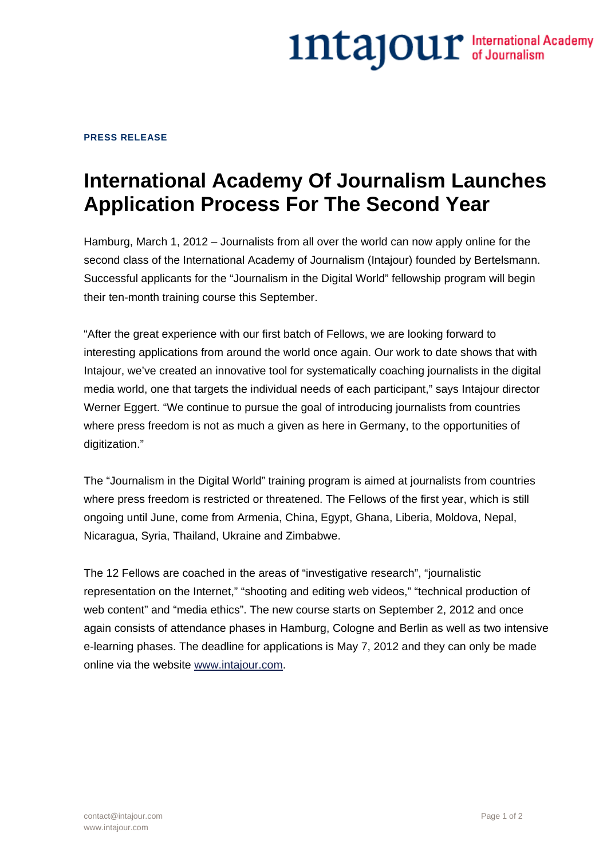## 1ntajour International Academy

## **PRESS RELEASE**

## **International Academy Of Journalism Launches Application Process For The Second Year**

Hamburg, March 1, 2012 – Journalists from all over the world can now apply online for the second class of the International Academy of Journalism (Intajour) founded by Bertelsmann. Successful applicants for the "Journalism in the Digital World" fellowship program will begin their ten-month training course this September.

"After the great experience with our first batch of Fellows, we are looking forward to interesting applications from around the world once again. Our work to date shows that with Intajour, we've created an innovative tool for systematically coaching journalists in the digital media world, one that targets the individual needs of each participant," says Intajour director Werner Eggert. "We continue to pursue the goal of introducing journalists from countries where press freedom is not as much a given as here in Germany, to the opportunities of digitization."

The "Journalism in the Digital World" training program is aimed at journalists from countries where press freedom is restricted or threatened. The Fellows of the first year, which is still ongoing until June, come from Armenia, China, Egypt, Ghana, Liberia, Moldova, Nepal, Nicaragua, Syria, Thailand, Ukraine and Zimbabwe.

The 12 Fellows are coached in the areas of "investigative research", "journalistic representation on the Internet," "shooting and editing web videos," "technical production of web content" and "media ethics". The new course starts on September 2, 2012 and once again consists of attendance phases in Hamburg, Cologne and Berlin as well as two intensive e-learning phases. The deadline for applications is May 7, 2012 and they can only be made online via the website www.intajour.com.